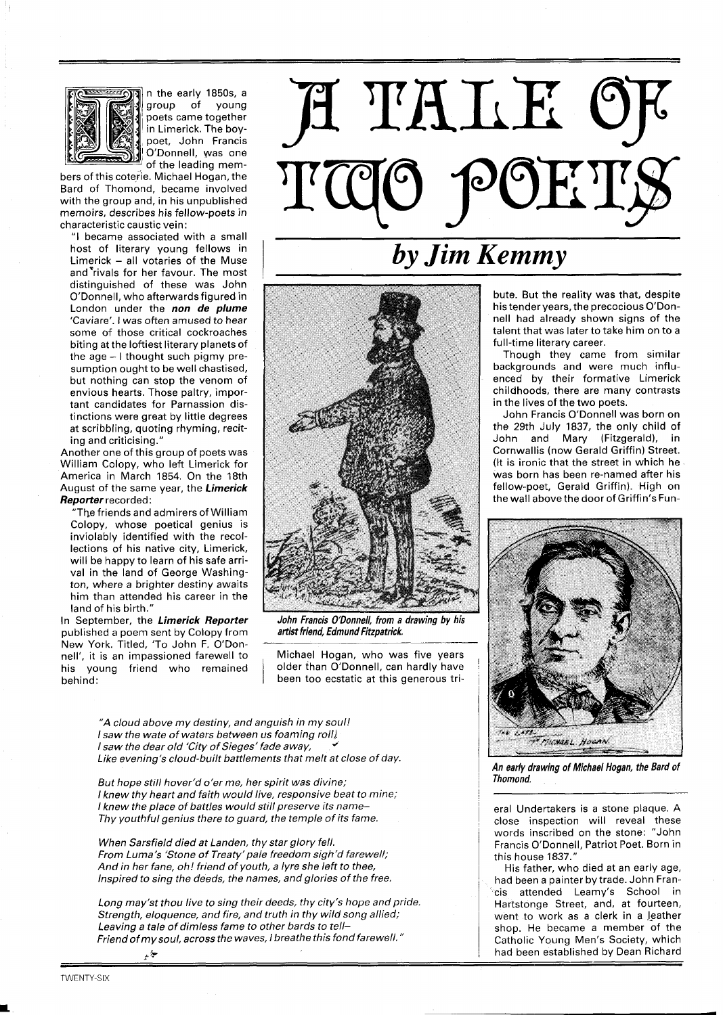

n the early 1850s, a group of young poets came together in Limerick. The boypoet, John Francis O'Donnell, was one of the leadina mem-

bers of this coterie. Michael Hogan, the Bard of Thomond, became involved with the group and, in his unpublished memoirs, describes his fellow-poets in characteristic caustic vein:

"I became associated with a small host of literary young fellows in Limerick - all votaries of the Muse and'rivals for her favour. The most distinguished of these was John O'Donnell, who afterwards figured in London under the **non de plume**  biting at the loftiest literary planets of the second term of the literary career.<br>Though they came from similar the age  $-1$  thought such pigmy presumption ought to be well chastised, but nothing can stop the venom of tant candidates for Parnassion dis-<br>tinctions were great by little degrees **the CALCON CONSTANT CONSTANT CONSTANT SERVICES** at scribbling, quoting rhyming, reciting and criticising."

William Colopy, who left Limerick for America in March 1854. On the 18th August of the same year, the **Limerick Reporter** recorded:

"The friends and admirers of William Colopy, whose poetical genius is inviolably identified with the recollections of his native city, Limerick, will be happy to learn of his safe arrival in the land of George Washington, where a brighter destiny awaits him than attended his career in the land of his birth."

In September, the **Limerick Reporter**  published a poem sent by Colopy from New York. Titled, 'To John F. O'Donnell', it is an impassioned farewell to his young friend who remained behind:

**A.** &



## by Jim Kemmy

bute. But the reality was that, despite his tender years, the precocious O'Don-'Caviare'. I was often amused to hear had already shown signs of the some of those critical cockroaches had already shown signs of the some of those critical cockroaches talent that was later to take him on to a<br>full-time literary career.

backgrounds and were much influenced by their formative Limerick envious hearts. Those paltry, impor-<br>tant candidates for Parnassion dis-<br>and candidates for Parnassion dis-

tinctions were great by little degrees John Francis O'Donnell was born on<br>at scribbling, quoting rhyming, recit-<br>at scribbling, quoting rhyming, recit-John and Mary (Fitzgerald), in<br>Cornwallis (now Gerald Griffin) Street. Another one of this group of poets was Cornwallis (now Gerald Griffin) Street.<br>William Colony, who left I imerick for was born has been re-named after his fellow-poet, Gerald Griffin). High on the wall above the door of Griffin's Fun-



An early drawing of Michael Hogan, the Bard of Thomond.

close inspection will reveal these<br>words inscribed on the stone: "John<br>Francis O'Donnell, Patriot Poet. Born in

Inspired to sing the deeds, the names, and glories of the free.<br>
is attended Leamy's School in had been a painter by trade. John Fran-Hartstonge Street, and, at fourteen, went to work as a clerk in a leather shop. He became a member of the Catholic Young Men's Society, which had been established by Dean Richard

John Francis O'Donnell, from a drawing by his

artist friend, Edmund Fitzpatrick.

Michael Hogan, who was five years older than O'Donnell, can hardly have been too ecstatic at this generous tri-

"A cloud above my destiny, and anguish in my soul! I saw the wate of waters between us foaming roll) I saw the dear old 'City of Sieges' fade away, Like evening's cloud-built battlements that melt at close of day.

But hope still hover'd o'er me, her spirit was divine; I knew thy heart and faith would live, responsive beat to mine; I knew the place of battles would still preserve its name-<br>
and interval of the later of battles would still preserve its name-Thy youthful genius there to guard, the temple of its fame.

When Sarsfield died at Landen, thy star glory fell. In this is a community of the Sarsfield died at Landen, thy star glory fell.<br>In this house 1837."<br>And in her fane, oh! friend of youth is lyre she left to thee starting t And in her fane, oh! friend of youth, a lyre she left to thee, His father, who died at an early age,

Long may'st thou live to sing their deeds, thy city's hope and pride. Strength, eloquence, and fire, and truth in thy wild song allied; Leaving a tale of dimless fame to other bards to tell-Friend ofmy soul, across the waves, l breathe this fond farewell. "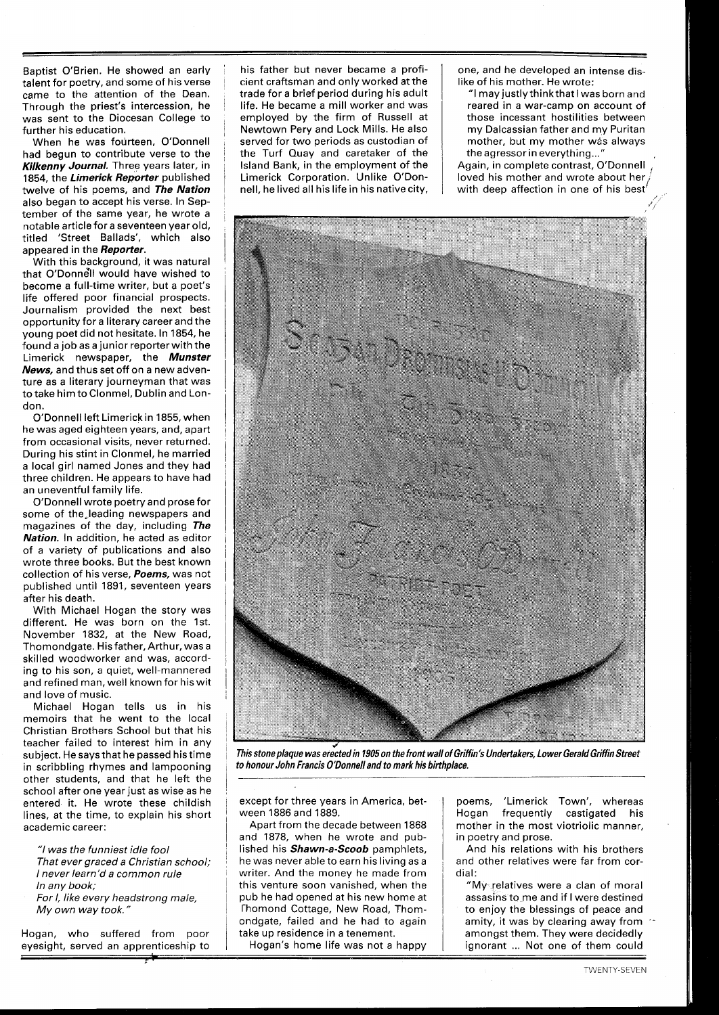Baptist O'Brien. He showed an early talent for poetry, and some of his verse came to the attention of the Dean. Through the priest's intercession, he was sent to the Diocesan College to further his education.

When he was fourteen, O'Donnell had begun to contribute verse to the **Kilkenny Journal.** Three years later, in 1854, the **Limerick Reporter** published twelve of his poems, and **The Nation**  also began to accept his verse. In September of the same year, he wrote a notable article for a seventeen year old, titled 'Street Ballads', which also appeared in the **Reporter.** 

With this background, it was natural that O'Donnell would have wished to become a full-time writer, but a poet's life offered poor financial prospects. Journalism provided the next best opportunity for a literary career and the young poet did not hesitate. In 1854, he found a job as a junior reporterwith the Limerick newspaper, the **Munster News,** and thus set off on a new adventure as a literary journeyman that was to take him to Clonmel, Dublin and London.

O'Donnell left Limerick in 1855, when he was aged eighteen years, and, apart from occasional visits, never returned. During his stint in Clonmel, he married a local girl named Jones and they had three children. He appears to have had an uneventful family life.

O'Donnell wrote poetry and prose for some of the,leading newspapers and magazines of the day, including **The Nation.** In addition, he acted as editor of a variety of publications and also wrote three books. But the best known collection of his verse, **Poems,** was not published until 1891, seventeen years after his death.

With Michael Hogan the story was different. He was born on the 1st. November 1832, at the New Road, Thomondgate. His father, Arthur, was a skilled woodworker and was, according to his son, a quiet, well-mannered and refined man, well known for his wit and love of music.

Michael Hogan tells us in his memoirs that he went to the local Christian Brothers School but that his teacher failed to interest him in any subject. He says that he passed his time in scribbling rhymes and lampooning other students, and that he left the school after one year just as wise as he entered it. He wrote these childish lines, at the time, to explain his short academic career:

"I was the funniest idle fool That ever graced a Christian school; I never learn'd a common rule In any book;

For I, like every headstrong male, My own way took. "

Hogan, who suffered from poor eyesight, served an apprenticeship to his father but never became a proficient craftsman and only worked at the trade for a brief period during his adult life. He became a mill worker and was employed by the firm of Russell at Newtown Pery and Lock Mills. He also served for two periods as custodian of the Turf Quay and caretaker of the Island Bank, in the employment of the Limerick Corporation. Unlike O'Donnell, he lived all his life in his native city,

one, and he developed an intense dislike of his mother. He wrote:

"I may justly thinkthat I was born and reared in a war-camp on account of those incessant hostilities between my Dalcassian father and my Puritan mother, but my mother was always

the agressor in everything..."<br>Again, in complete contrast, O'Donnell  $\overline{\text{Agen}}$ , his mother and wrote about her  $\overline{\text{A}}$ with deep affection in one of his best'

'/



**This stone plaque was erectedin 1905 on the front wall of Griffin's Undertakers, Lower Gerald Griffin Street to honour John Francis O'Donnelland to mark his birthplace.** 

except for three years in America, between 1886 and 1889.

Apart from the decade between 1868 and 1878, when he wrote and published his **Shawn-a-Scoob** pamphlets, he was never able to earn his living as a writer. And the money he made from this venture soon vanished, when the pub he had opened at his new home at rhomond Cottage, New Road, Thomondgate, failed and he had to again take up residence in a tenement.

Hogan's home life was not a happy

poems, 'Limerick Town', whereas Hogan frequently castigated his mother in the most viotriolic manner, in poetry and prose.

And his relations with his brothers and other relatives were far from cordial:

"My<sub>si</sub>relatives were a clan of moral assasins to me and if I were destined to enjoy the blessings of peace and amity, it was by clearing away from amongst them. They were decidedly ignorant ... Not one of them could